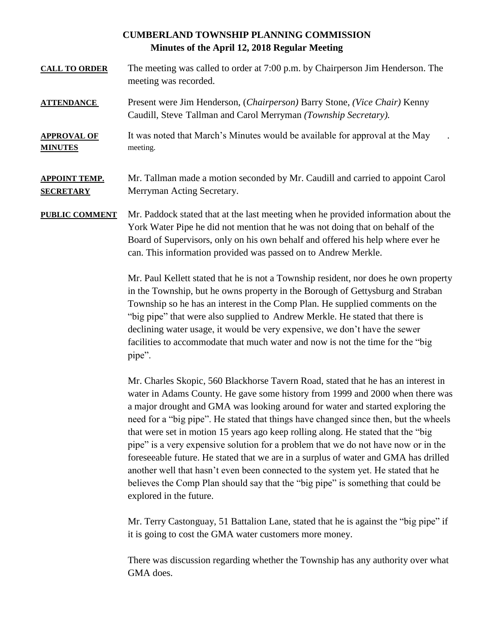## **CUMBERLAND TOWNSHIP PLANNING COMMISSION Minutes of the April 12, 2018 Regular Meeting**

- **CALL TO ORDER** The meeting was called to order at 7:00 p.m. by Chairperson Jim Henderson. The meeting was recorded.
- **ATTENDANCE** Present were Jim Henderson, (*Chairperson)* Barry Stone, *(Vice Chair)* Kenny Caudill, Steve Tallman and Carol Merryman *(Township Secretary).*
- **APPROVAL OF** It was noted that March's Minutes would be available for approval at the May **MINUTES** meeting.

## **APPOINT TEMP.** Mr. Tallman made a motion seconded by Mr. Caudill and carried to appoint Carol **SECRETARY** Merryman Acting Secretary.

**PUBLIC COMMENT** Mr. Paddock stated that at the last meeting when he provided information about the York Water Pipe he did not mention that he was not doing that on behalf of the Board of Supervisors, only on his own behalf and offered his help where ever he can. This information provided was passed on to Andrew Merkle.

> Mr. Paul Kellett stated that he is not a Township resident, nor does he own property in the Township, but he owns property in the Borough of Gettysburg and Straban Township so he has an interest in the Comp Plan. He supplied comments on the "big pipe" that were also supplied to Andrew Merkle. He stated that there is declining water usage, it would be very expensive, we don't have the sewer facilities to accommodate that much water and now is not the time for the "big pipe".

> Mr. Charles Skopic, 560 Blackhorse Tavern Road, stated that he has an interest in water in Adams County. He gave some history from 1999 and 2000 when there was a major drought and GMA was looking around for water and started exploring the need for a "big pipe". He stated that things have changed since then, but the wheels that were set in motion 15 years ago keep rolling along. He stated that the "big pipe" is a very expensive solution for a problem that we do not have now or in the foreseeable future. He stated that we are in a surplus of water and GMA has drilled another well that hasn't even been connected to the system yet. He stated that he believes the Comp Plan should say that the "big pipe" is something that could be explored in the future.

Mr. Terry Castonguay, 51 Battalion Lane, stated that he is against the "big pipe" if it is going to cost the GMA water customers more money.

There was discussion regarding whether the Township has any authority over what GMA does.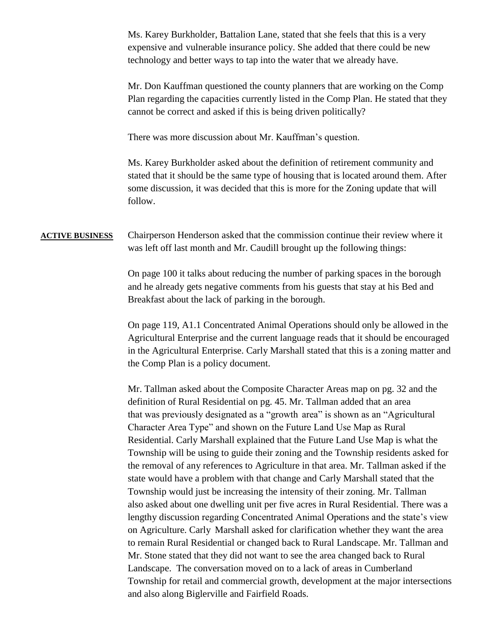Ms. Karey Burkholder, Battalion Lane, stated that she feels that this is a very expensive and vulnerable insurance policy. She added that there could be new technology and better ways to tap into the water that we already have.

Mr. Don Kauffman questioned the county planners that are working on the Comp Plan regarding the capacities currently listed in the Comp Plan. He stated that they cannot be correct and asked if this is being driven politically?

There was more discussion about Mr. Kauffman's question.

Ms. Karey Burkholder asked about the definition of retirement community and stated that it should be the same type of housing that is located around them. After some discussion, it was decided that this is more for the Zoning update that will follow.

## **ACTIVE BUSINESS** Chairperson Henderson asked that the commission continue their review where it was left off last month and Mr. Caudill brought up the following things:

On page 100 it talks about reducing the number of parking spaces in the borough and he already gets negative comments from his guests that stay at his Bed and Breakfast about the lack of parking in the borough.

On page 119, A1.1 Concentrated Animal Operations should only be allowed in the Agricultural Enterprise and the current language reads that it should be encouraged in the Agricultural Enterprise. Carly Marshall stated that this is a zoning matter and the Comp Plan is a policy document.

Mr. Tallman asked about the Composite Character Areas map on pg. 32 and the definition of Rural Residential on pg. 45. Mr. Tallman added that an area that was previously designated as a "growth area" is shown as an "Agricultural Character Area Type" and shown on the Future Land Use Map as Rural Residential. Carly Marshall explained that the Future Land Use Map is what the Township will be using to guide their zoning and the Township residents asked for the removal of any references to Agriculture in that area. Mr. Tallman asked if the state would have a problem with that change and Carly Marshall stated that the Township would just be increasing the intensity of their zoning. Mr. Tallman also asked about one dwelling unit per five acres in Rural Residential. There was a lengthy discussion regarding Concentrated Animal Operations and the state's view on Agriculture. Carly Marshall asked for clarification whether they want the area to remain Rural Residential or changed back to Rural Landscape. Mr. Tallman and Mr. Stone stated that they did not want to see the area changed back to Rural Landscape. The conversation moved on to a lack of areas in Cumberland Township for retail and commercial growth, development at the major intersections and also along Biglerville and Fairfield Roads.